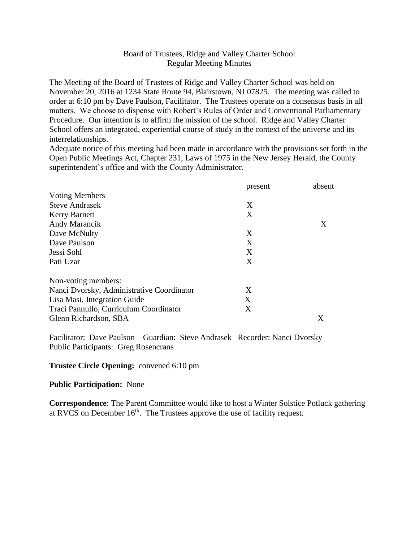## Board of Trustees, Ridge and Valley Charter School Regular Meeting Minutes

The Meeting of the Board of Trustees of Ridge and Valley Charter School was held on November 20, 2016 at 1234 State Route 94, Blairstown, NJ 07825. The meeting was called to order at 6:10 pm by Dave Paulson, Facilitator. The Trustees operate on a consensus basis in all matters. We choose to dispense with Robert's Rules of Order and Conventional Parliamentary Procedure. Our intention is to affirm the mission of the school. Ridge and Valley Charter School offers an integrated, experiential course of study in the context of the universe and its interrelationships.

Adequate notice of this meeting had been made in accordance with the provisions set forth in the Open Public Meetings Act, Chapter 231, Laws of 1975 in the New Jersey Herald, the County superintendent's office and with the County Administrator.

|                                           | present | absent |
|-------------------------------------------|---------|--------|
| <b>Voting Members</b>                     |         |        |
| <b>Steve Andrasek</b>                     | X       |        |
| <b>Kerry Barnett</b>                      | X       |        |
| Andy Marancik                             |         | X      |
| Dave McNulty                              | X       |        |
| Dave Paulson                              | X       |        |
| Jessi Sohl                                | X       |        |
| Pati Uzar                                 | X       |        |
| Non-voting members:                       |         |        |
| Nanci Dvorsky, Administrative Coordinator | X       |        |
| Lisa Masi, Integration Guide              | X       |        |
| Traci Pannullo, Curriculum Coordinator    | X       |        |
| Glenn Richardson, SBA                     |         | X      |

Facilitator: Dave Paulson Guardian: Steve Andrasek Recorder: Nanci Dvorsky Public Participants: Greg Rosencrans

### **Trustee Circle Opening:** convened 6:10 pm

#### **Public Participation:** None

**Correspondence**: The Parent Committee would like to host a Winter Solstice Potluck gathering at RVCS on December  $16<sup>th</sup>$ . The Trustees approve the use of facility request.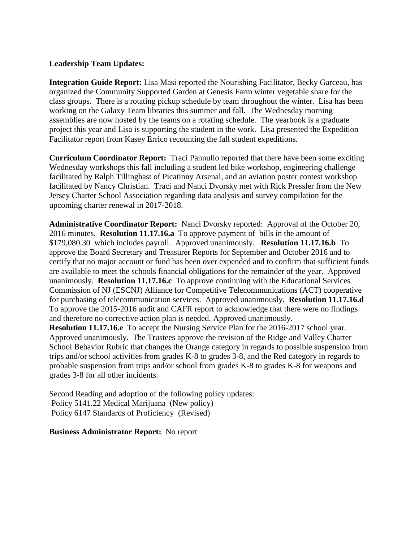# **Leadership Team Updates:**

**Integration Guide Report:** Lisa Masi reported the Nourishing Facilitator, Becky Garceau, has organized the Community Supported Garden at Genesis Farm winter vegetable share for the class groups. There is a rotating pickup schedule by team throughout the winter. Lisa has been working on the Galaxy Team libraries this summer and fall. The Wednesday morning assemblies are now hosted by the teams on a rotating schedule. The yearbook is a graduate project this year and Lisa is supporting the student in the work. Lisa presented the Expedition Facilitator report from Kasey Errico recounting the fall student expeditions.

**Curriculum Coordinator Report:** Traci Pannullo reported that there have been some exciting Wednesday workshops this fall including a student led bike workshop, engineering challenge facilitated by Ralph Tillinghast of Picatinny Arsenal, and an aviation poster contest workshop facilitated by Nancy Christian. Traci and Nanci Dvorsky met with Rick Pressler from the New Jersey Charter School Association regarding data analysis and survey compilation for the upcoming charter renewal in 2017-2018.

**Administrative Coordinator Report:** Nanci Dvorsky reported: Approval of the October 20, 2016 minutes. **Resolution 11.17.16.a** To approve payment of bills in the amount of \$179,080.30 which includes payroll. Approved unanimously. **Resolution 11.17.16.b** To approve the Board Secretary and Treasurer Reports for September and October 2016 and to certify that no major account or fund has been over expended and to confirm that sufficient funds are available to meet the schools financial obligations for the remainder of the year. Approved unanimously. **Resolution 11.17.16.c** To approve continuing with the Educational Services Commission of NJ (ESCNJ) Alliance for Competitive Telecommunications (ACT) cooperative for purchasing of telecommunication services. Approved unanimously. **Resolution 11.17.16.d**  To approve the 2015-2016 audit and CAFR report to acknowledge that there were no findings and therefore no corrective action plan is needed. Approved unanimously.

**Resolution 11.17.16.e** To accept the Nursing Service Plan for the 2016-2017 school year. Approved unanimously. The Trustees approve the revision of the Ridge and Valley Charter School Behavior Rubric that changes the Orange category in regards to possible suspension from trips and/or school activities from grades K-8 to grades 3-8, and the Red category in regards to probable suspension from trips and/or school from grades K-8 to grades K-8 for weapons and grades 3-8 for all other incidents.

Second Reading and adoption of the following policy updates: Policy 5141.22 Medical Marijuana (New policy) Policy 6147 Standards of Proficiency (Revised)

### **Business Administrator Report:** No report